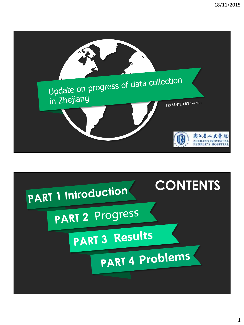

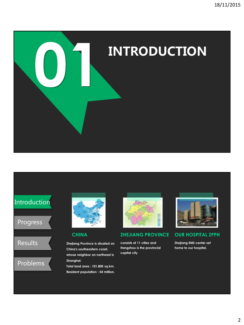

# Introduction

# Progress



# Problems



## **CHINA**

**Zhejiang Province is situated on China's southeastern coast, whose neighbor on northeast is Shanghai.** 

**Total land area : 101,800 sq.km. Resident population : 54 million.**



## **ZHEJIANG PROVINCE**

**consists of 11 cities and Hangzhou is the provincial capital city**



### **OUR HOSPITAL ZPPH**

**Zhejiang EMS center set home to our hospital.**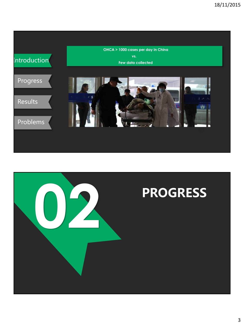

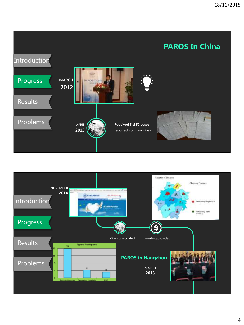

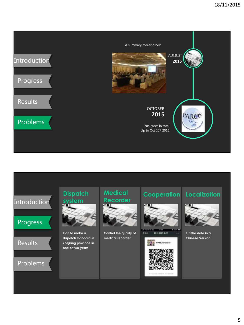



5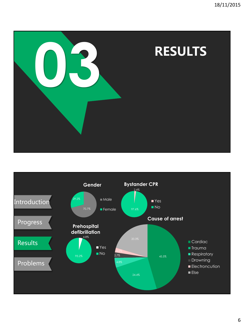

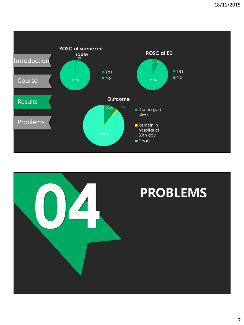

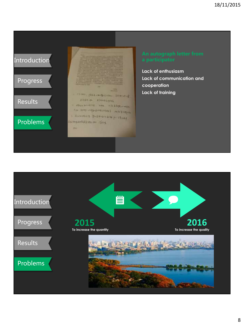# Introduction

# Progress

# Results

# Problems

-same this international FILED on Characters C Phone Arrelly E. Long. 1-1-1 Sylvania on live experiment when Cheesen Pelatricke p. date Baltimore Barbaran Bar ы

**Lack of enthusiasm Lack of communication and cooperation Lack of training**